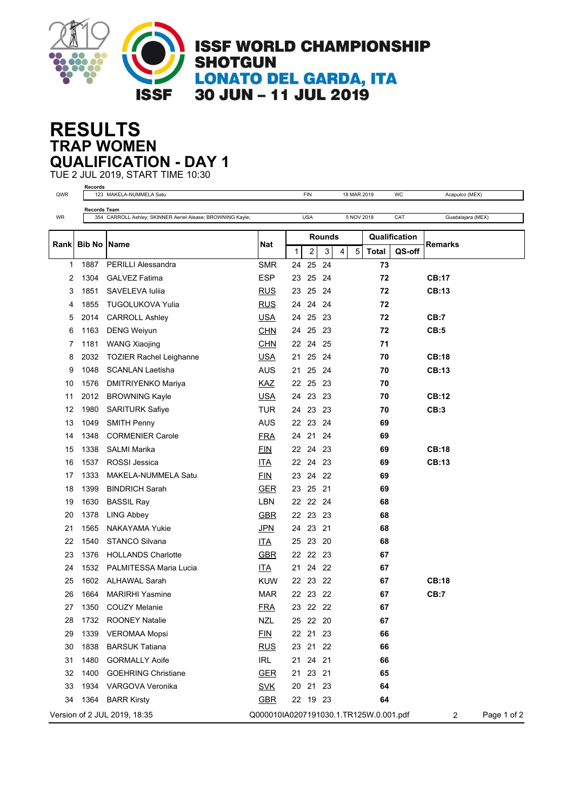

## **TRAP WOMEN RESULTS QUALIFICATION - DAY 1**

TUE 2 JUL 2019, START TIME 10:30 **Records**

| QWR         | Recorus             | 123 MAKELA-NUMMELA Satu                                    |                                        |              |                         | <b>FIN</b> |   |                             | 18 MAR 2019 | WC  | Acapulco (MEX)    |             |
|-------------|---------------------|------------------------------------------------------------|----------------------------------------|--------------|-------------------------|------------|---|-----------------------------|-------------|-----|-------------------|-------------|
|             | <b>Records Team</b> |                                                            |                                        |              |                         |            |   |                             |             |     |                   |             |
| WR          |                     | 354 CARROLL Ashley; SKINNER Aeriel Alease; BROWNING Kayle; |                                        |              | <b>USA</b>              |            |   | 5 NOV 2018                  |             | CAT | Guadalajara (MEX) |             |
|             |                     |                                                            | <b>Nat</b>                             |              | <b>Rounds</b>           |            |   | Qualification               |             |     |                   |             |
| <b>Rank</b> | <b>Bib No Name</b>  |                                                            |                                        | $\mathbf{1}$ | $\overline{\mathbf{c}}$ | 3          | 4 | 5<br><b>Total</b><br>QS-off |             |     | <b>Remarks</b>    |             |
| 1           | 1887                | <b>PERILLI Alessandra</b>                                  | <b>SMR</b>                             |              | 24 25 24                |            |   |                             | 73          |     |                   |             |
| 2           | 1304                | <b>GALVEZ Fatima</b>                                       | <b>ESP</b>                             | 23           | 25                      | 24         |   |                             | 72          |     | <b>CB:17</b>      |             |
| 3           | 1851                | SAVELEVA Iulija                                            | <b>RUS</b>                             | 23           | 25                      | 24         |   |                             | 72          |     | CB:13             |             |
| 4           | 1855                | <b>TUGOLUKOVA Yulia</b>                                    | <b>RUS</b>                             | 24           | 24 24                   |            |   |                             | 72          |     |                   |             |
| 5           | 2014                | <b>CARROLL Ashley</b>                                      | <b>USA</b>                             | 24           | 25 23                   |            |   |                             | 72          |     | CB:7              |             |
| 6           | 1163                | <b>DENG Weiyun</b>                                         | <b>CHN</b>                             | 24           | 25                      | 23         |   |                             | 72          |     | CB:5              |             |
| 7           | 1181                | <b>WANG Xiaojing</b>                                       | <b>CHN</b>                             | 22           | 24                      | 25         |   |                             | 71          |     |                   |             |
| 8           | 2032                | <b>TOZIER Rachel Leighanne</b>                             | <b>USA</b>                             | 21           | 25 24                   |            |   |                             | 70          |     | <b>CB:18</b>      |             |
| 9           | 1048                | <b>SCANLAN Laetisha</b>                                    | AUS                                    | 21           | 25                      | 24         |   |                             | 70          |     | CB:13             |             |
| 10          | 1576                | <b>DMITRIYENKO Mariya</b>                                  | KAZ                                    |              | 22 25 23                |            |   |                             | 70          |     |                   |             |
| 11          | 2012                | <b>BROWNING Kayle</b>                                      | <b>USA</b>                             | 24           | 23 23                   |            |   |                             | 70          |     | CB:12             |             |
| 12          | 1980                | <b>SARITURK Safiye</b>                                     | <b>TUR</b>                             |              | 24 23 23                |            |   |                             | 70          |     | CB:3              |             |
| 13          | 1049                | <b>SMITH Penny</b>                                         | <b>AUS</b>                             | 22           | 23                      | 24         |   |                             | 69          |     |                   |             |
| 14          | 1348                | <b>CORMENIER Carole</b>                                    | <u>FRA</u>                             | 24           | 21                      | 24         |   |                             | 69          |     |                   |             |
| 15          | 1338                | <b>SALMI Marika</b>                                        | <b>FIN</b>                             |              | 22 24 23                |            |   |                             | 69          |     | <b>CB:18</b>      |             |
| 16          | 1537                | <b>ROSSI</b> Jessica                                       | <b>ITA</b>                             |              | 22 24 23                |            |   |                             | 69          |     | <b>CB:13</b>      |             |
| 17          | 1333                | MAKELA-NUMMELA Satu                                        | <b>FIN</b>                             | 23           | 24 22                   |            |   |                             | 69          |     |                   |             |
| 18          | 1399                | <b>BINDRICH Sarah</b>                                      | <b>GER</b>                             | 23           | 25                      | - 21       |   |                             | 69          |     |                   |             |
| 19          | 1630                | <b>BASSIL Ray</b>                                          | <b>LBN</b>                             |              | 22 22 24                |            |   |                             | 68          |     |                   |             |
| 20          | 1378                | <b>LING Abbey</b>                                          | <b>GBR</b>                             | 22           | 23                      | 23         |   |                             | 68          |     |                   |             |
| 21          | 1565                | NAKAYAMA Yukie                                             | <u>JPN</u>                             |              | 24 23                   | 21         |   |                             | 68          |     |                   |             |
| 22          | 1540                | <b>STANCO Silvana</b>                                      | <u>ITA</u>                             |              | 25 23 20                |            |   |                             | 68          |     |                   |             |
| 23          | 1376                | <b>HOLLANDS Charlotte</b>                                  | <b>GBR</b>                             | 22           | 22 23                   |            |   |                             | 67          |     |                   |             |
| 24          |                     | 1532 PALMITESSA Maria Lucia                                | <u>ITA</u>                             | 21           | 24                      | - 22       |   |                             | 67          |     |                   |             |
| 25          | 1602                | ALHAWAL Sarah                                              | <b>KUW</b>                             |              | 22 23 22                |            |   |                             | 67          |     | <b>CB:18</b>      |             |
| 26          | 1664                | <b>MARIRHI Yasmine</b>                                     | <b>MAR</b>                             |              | 22 23 22                |            |   |                             | 67          |     | CB:7              |             |
| 27          | 1350                | COUZY Melanie                                              | <b>FRA</b>                             |              | 23 22 22                |            |   |                             | 67          |     |                   |             |
| 28          | 1732                | <b>ROONEY Natalie</b>                                      | <b>NZL</b>                             |              | 25 22 20                |            |   |                             | 67          |     |                   |             |
| 29          | 1339                | <b>VEROMAA Mopsi</b>                                       | EIN                                    |              | 22 21 23                |            |   |                             | 66          |     |                   |             |
| 30          | 1838                | <b>BARSUK Tatiana</b>                                      | <b>RUS</b>                             |              | 23 21 22                |            |   |                             | 66          |     |                   |             |
| 31          | 1480                | <b>GORMALLY Aoife</b>                                      | IRL                                    |              | 21 24                   | - 21       |   |                             | 66          |     |                   |             |
| 32          | 1400                | <b>GOEHRING Christiane</b>                                 | <b>GER</b>                             |              | 21  23  21              |            |   |                             | 65          |     |                   |             |
| 33          | 1934                | VARGOVA Veronika                                           | <b>SVK</b>                             |              | 20 21 23                |            |   |                             | 64          |     |                   |             |
| 34          | 1364                | <b>BARR Kirsty</b>                                         | <b>GBR</b>                             |              | 22 19 23                |            |   |                             | 64          |     |                   |             |
|             |                     | Version of 2 JUL 2019, 18:35                               | Q000010IA0207191030.1.TR125W.0.001.pdf |              |                         |            |   |                             |             |     | $\overline{2}$    | Page 1 of 2 |